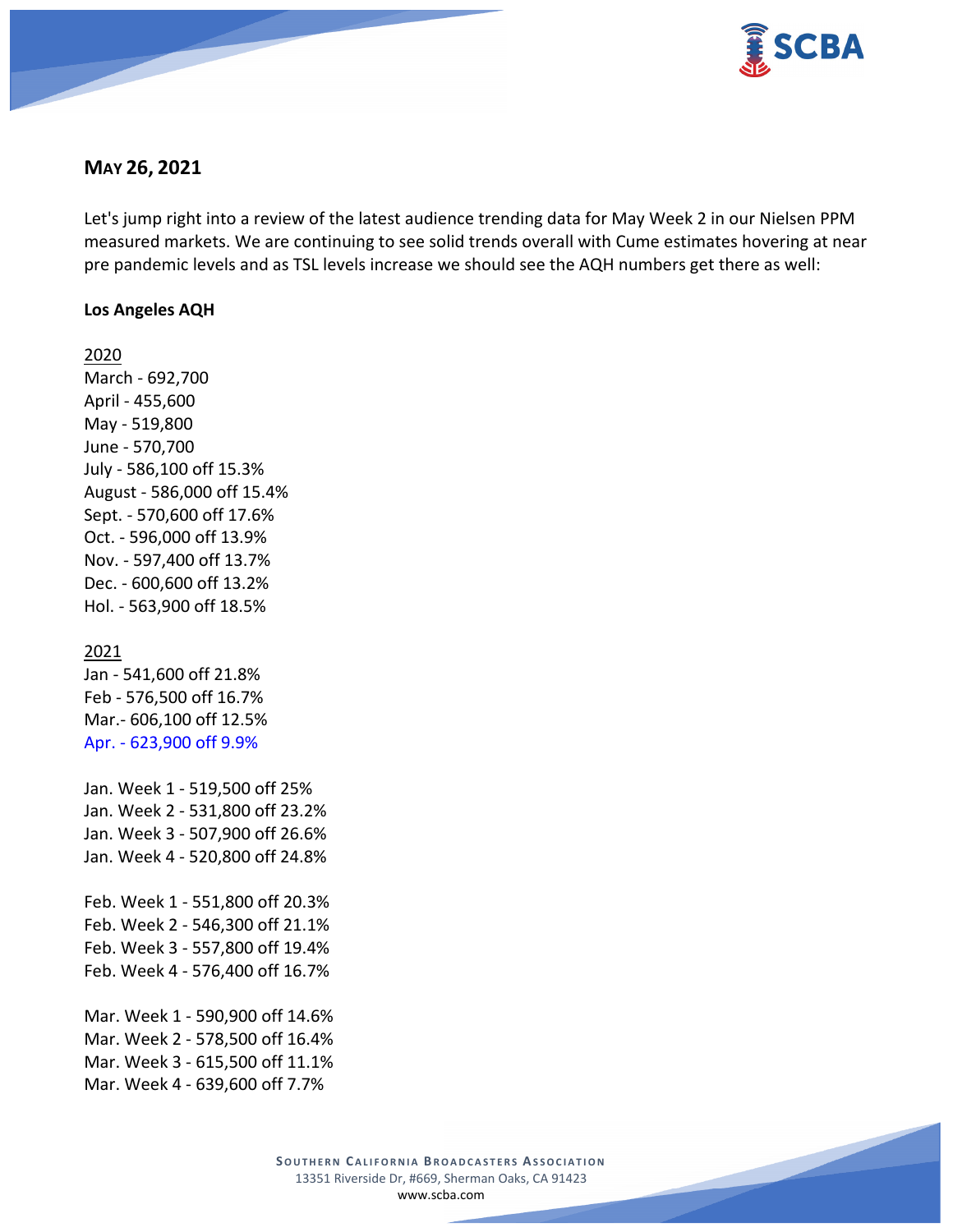

## **MAY 26, 2021**

Let's jump right into a review of the latest audience trending data for May Week 2 in our Nielsen PPM measured markets. We are continuing to see solid trends overall with Cume estimates hovering at near pre pandemic levels and as TSL levels increase we should see the AQH numbers get there as well:

### **Los Angeles AQH**

2020 March - 692,700 April - 455,600 May - 519,800 June - 570,700 July - 586,100 off 15.3% August - 586,000 off 15.4% Sept. - 570,600 off 17.6% Oct. - 596,000 off 13.9% Nov. - 597,400 off 13.7% Dec. - 600,600 off 13.2% Hol. - 563,900 off 18.5%

#### 2021

Jan - 541,600 off 21.8% Feb - 576,500 off 16.7% Mar.- 606,100 off 12.5% Apr. - 623,900 off 9.9%

Jan. Week 1 - 519,500 off 25% Jan. Week 2 - 531,800 off 23.2% Jan. Week 3 - 507,900 off 26.6% Jan. Week 4 - 520,800 off 24.8%

Feb. Week 1 - 551,800 off 20.3% Feb. Week 2 - 546,300 off 21.1% Feb. Week 3 - 557,800 off 19.4% Feb. Week 4 - 576,400 off 16.7%

Mar. Week 1 - 590,900 off 14.6% Mar. Week 2 - 578,500 off 16.4% Mar. Week 3 - 615,500 off 11.1% Mar. Week 4 - 639,600 off 7.7%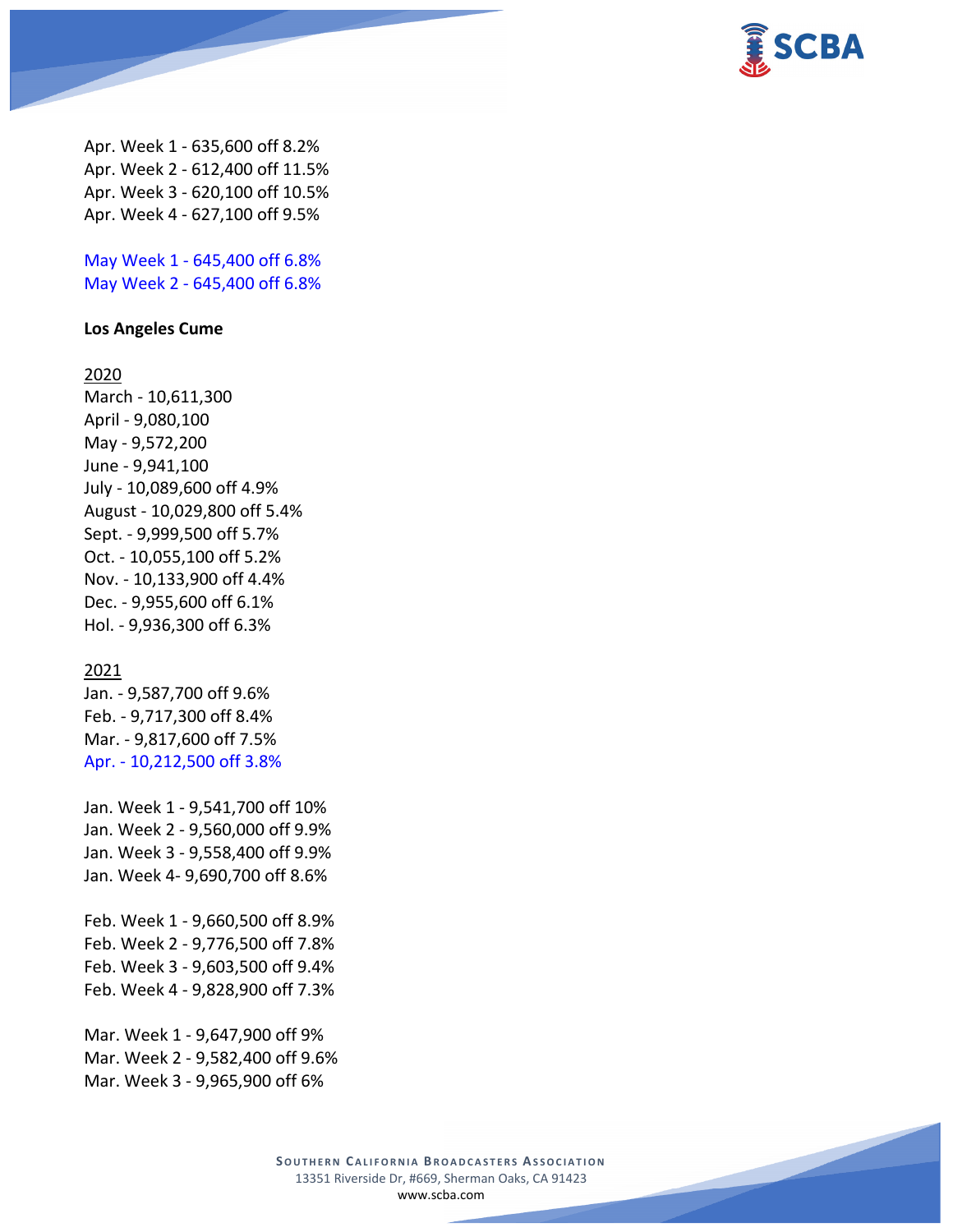

Apr. Week 1 - 635,600 off 8.2% Apr. Week 2 - 612,400 off 11.5% Apr. Week 3 - 620,100 off 10.5% Apr. Week 4 - 627,100 off 9.5%

May Week 1 - 645,400 off 6.8% May Week 2 - 645,400 off 6.8%

### **Los Angeles Cume**

#### 2020

March - 10,611,300 April - 9,080,100 May - 9,572,200 June - 9,941,100 July - 10,089,600 off 4.9% August - 10,029,800 off 5.4% Sept. - 9,999,500 off 5.7% Oct. - 10,055,100 off 5.2% Nov. - 10,133,900 off 4.4% Dec. - 9,955,600 off 6.1% Hol. - 9,936,300 off 6.3%

### 2021

Jan. - 9,587,700 off 9.6% Feb. - 9,717,300 off 8.4% Mar. - 9,817,600 off 7.5% Apr. - 10,212,500 off 3.8%

Jan. Week 1 - 9,541,700 off 10% Jan. Week 2 - 9,560,000 off 9.9% Jan. Week 3 - 9,558,400 off 9.9% Jan. Week 4- 9,690,700 off 8.6%

Feb. Week 1 - 9,660,500 off 8.9% Feb. Week 2 - 9,776,500 off 7.8% Feb. Week 3 - 9,603,500 off 9.4% Feb. Week 4 - 9,828,900 off 7.3%

Mar. Week 1 - 9,647,900 off 9% Mar. Week 2 - 9,582,400 off 9.6% Mar. Week 3 - 9,965,900 off 6%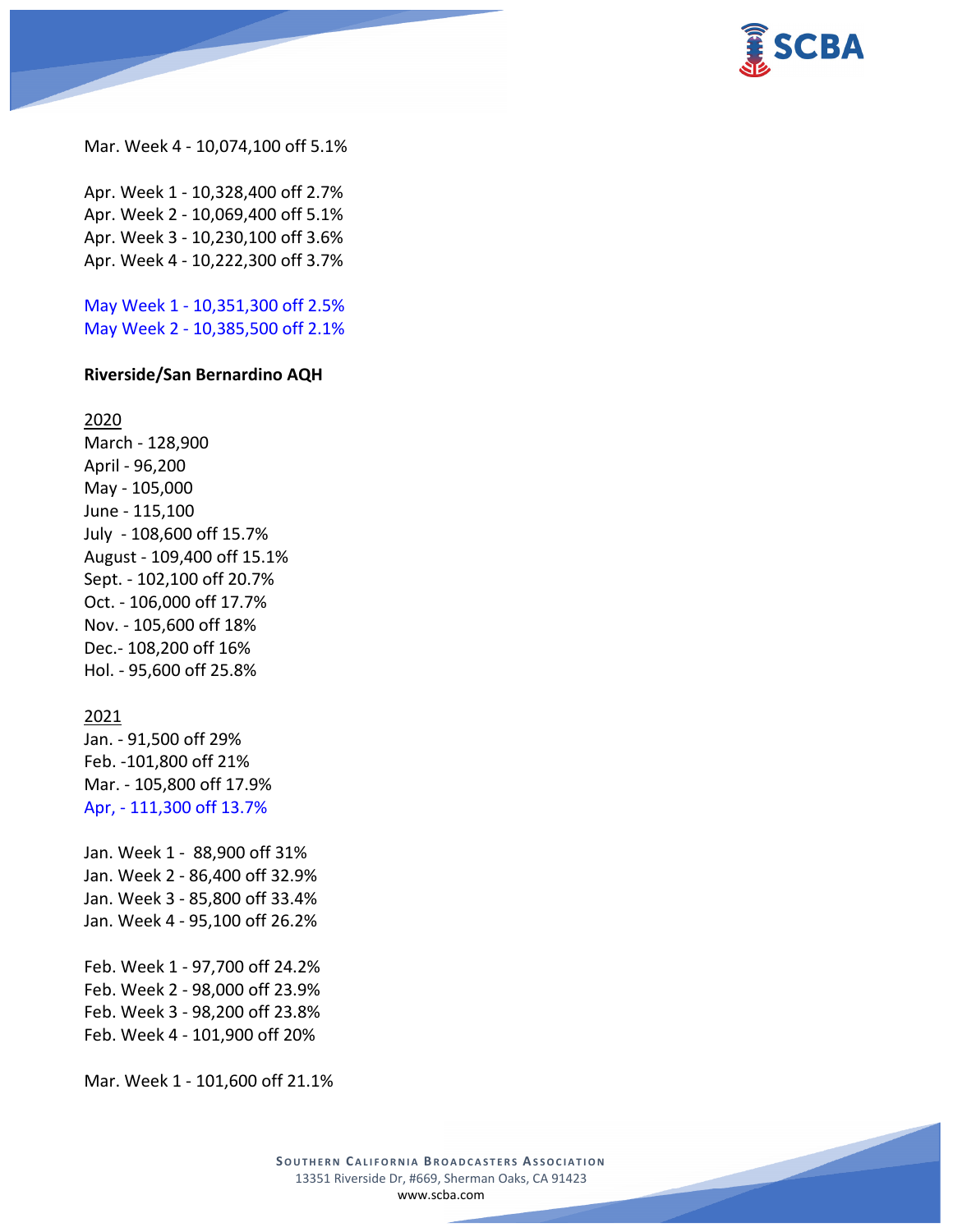

Mar. Week 4 - 10,074,100 off 5.1%

Apr. Week 1 - 10,328,400 off 2.7% Apr. Week 2 - 10,069,400 off 5.1% Apr. Week 3 - 10,230,100 off 3.6% Apr. Week 4 - 10,222,300 off 3.7%

May Week 1 - 10,351,300 off 2.5% May Week 2 - 10,385,500 off 2.1%

#### **Riverside/San Bernardino AQH**

2020

March - 128,900 April - 96,200 May - 105,000 June - 115,100 July - 108,600 off 15.7% August - 109,400 off 15.1% Sept. - 102,100 off 20.7% Oct. - 106,000 off 17.7% Nov. - 105,600 off 18% Dec.- 108,200 off 16% Hol. - 95,600 off 25.8%

#### 2021

Jan. - 91,500 off 29% Feb. -101,800 off 21% Mar. - 105,800 off 17.9% Apr, - 111,300 off 13.7%

Jan. Week 1 - 88,900 off 31% Jan. Week 2 - 86,400 off 32.9% Jan. Week 3 - 85,800 off 33.4% Jan. Week 4 - 95,100 off 26.2%

Feb. Week 1 - 97,700 off 24.2% Feb. Week 2 - 98,000 off 23.9% Feb. Week 3 - 98,200 off 23.8% Feb. Week 4 - 101,900 off 20%

Mar. Week 1 - 101,600 off 21.1%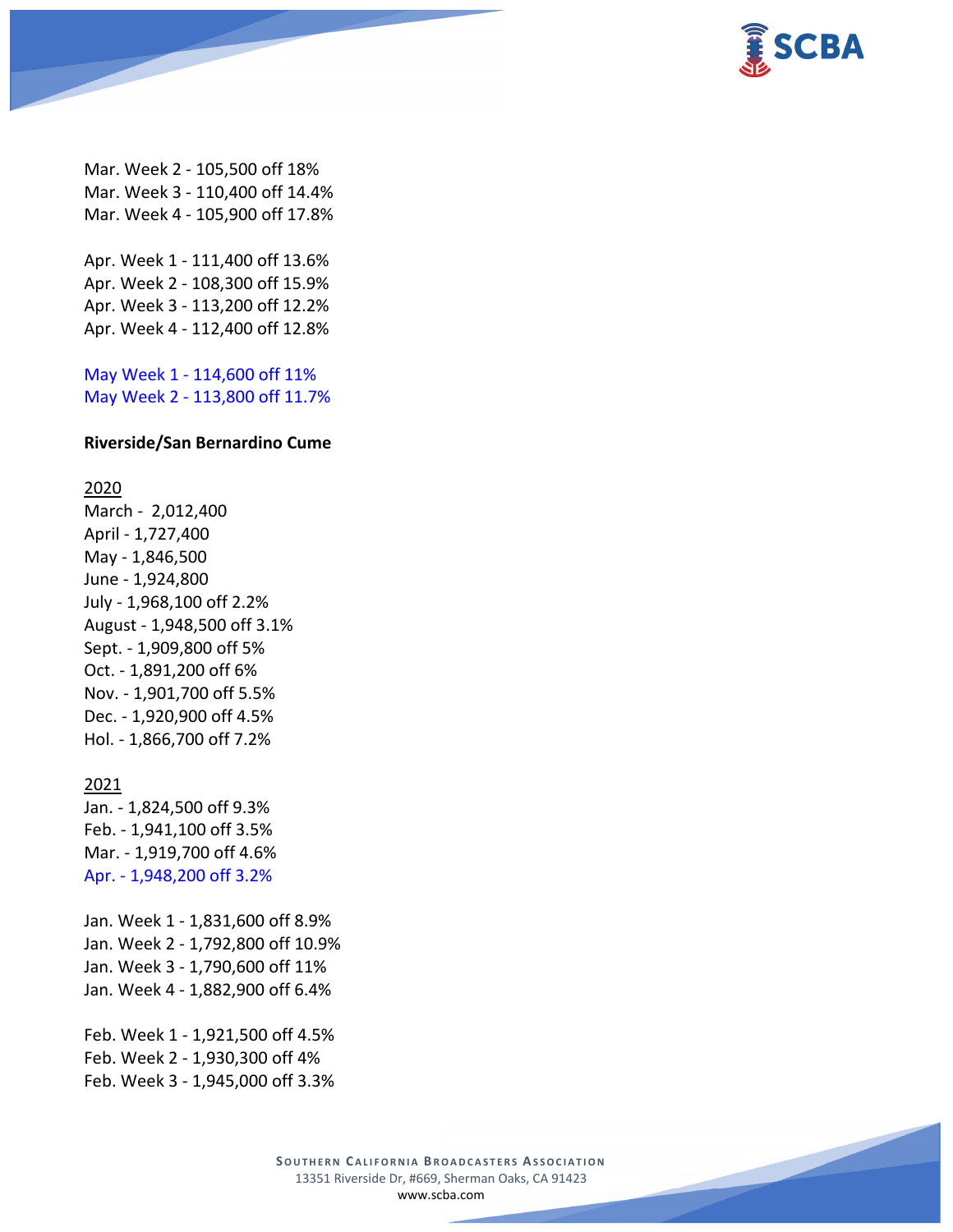

Mar. Week 2 - 105,500 off 18% Mar. Week 3 - 110,400 off 14.4% Mar. Week 4 - 105,900 off 17.8%

Apr. Week 1 - 111,400 off 13.6% Apr. Week 2 - 108,300 off 15.9% Apr. Week 3 - 113,200 off 12.2% Apr. Week 4 - 112,400 off 12.8%

May Week 1 - 114,600 off 11% May Week 2 - 113,800 off 11.7%

#### **Riverside/San Bernardino Cume**

#### 2020

March - 2,012,400 April - 1,727,400 May - 1,846,500 June - 1,924,800 July - 1,968,100 off 2.2% August - 1,948,500 off 3.1% Sept. - 1,909,800 off 5% Oct. - 1,891,200 off 6% Nov. - 1,901,700 off 5.5% Dec. - 1,920,900 off 4.5% Hol. - 1,866,700 off 7.2%

### 2021

Jan. - 1,824,500 off 9.3% Feb. - 1,941,100 off 3.5% Mar. - 1,919,700 off 4.6% Apr. - 1,948,200 off 3.2%

Jan. Week 1 - 1,831,600 off 8.9% Jan. Week 2 - 1,792,800 off 10.9% Jan. Week 3 - 1,790,600 off 11% Jan. Week 4 - 1,882,900 off 6.4%

Feb. Week 1 - 1,921,500 off 4.5% Feb. Week 2 - 1,930,300 off 4% Feb. Week 3 - 1,945,000 off 3.3%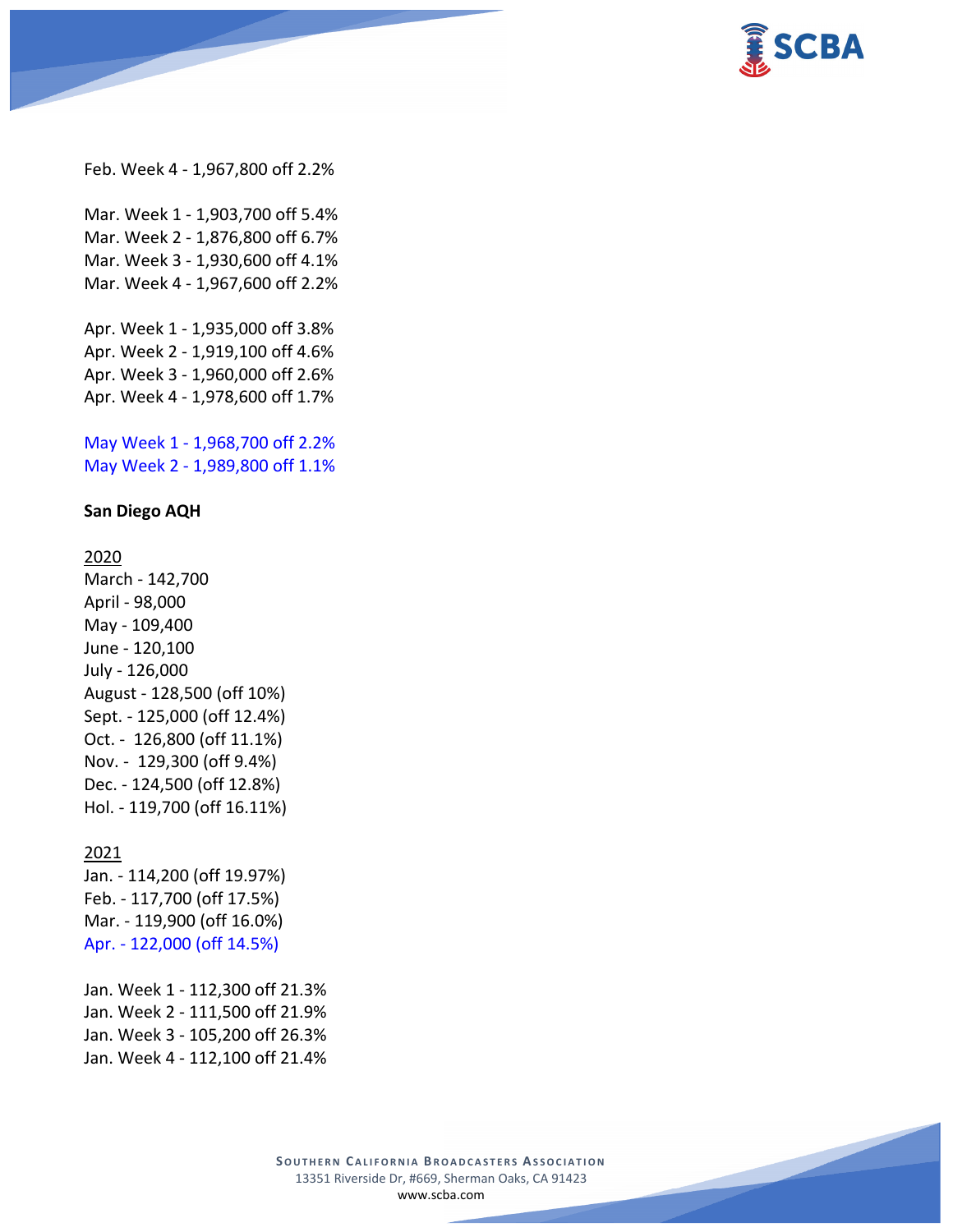

Feb. Week 4 - 1,967,800 off 2.2%

Mar. Week 1 - 1,903,700 off 5.4% Mar. Week 2 - 1,876,800 off 6.7% Mar. Week 3 - 1,930,600 off 4.1% Mar. Week 4 - 1,967,600 off 2.2%

Apr. Week 1 - 1,935,000 off 3.8% Apr. Week 2 - 1,919,100 off 4.6% Apr. Week 3 - 1,960,000 off 2.6% Apr. Week 4 - 1,978,600 off 1.7%

May Week 1 - 1,968,700 off 2.2% May Week 2 - 1,989,800 off 1.1%

#### **San Diego AQH**

2020

March - 142,700 April - 98,000 May - 109,400 June - 120,100 July - 126,000 August - 128,500 (off 10%) Sept. - 125,000 (off 12.4%) Oct. - 126,800 (off 11.1%) Nov. - 129,300 (off 9.4%) Dec. - 124,500 (off 12.8%) Hol. - 119,700 (off 16.11%)

#### 2021

Jan. - 114,200 (off 19.97%) Feb. - 117,700 (off 17.5%) Mar. - 119,900 (off 16.0%) Apr. - 122,000 (off 14.5%)

Jan. Week 1 - 112,300 off 21.3% Jan. Week 2 - 111,500 off 21.9% Jan. Week 3 - 105,200 off 26.3% Jan. Week 4 - 112,100 off 21.4%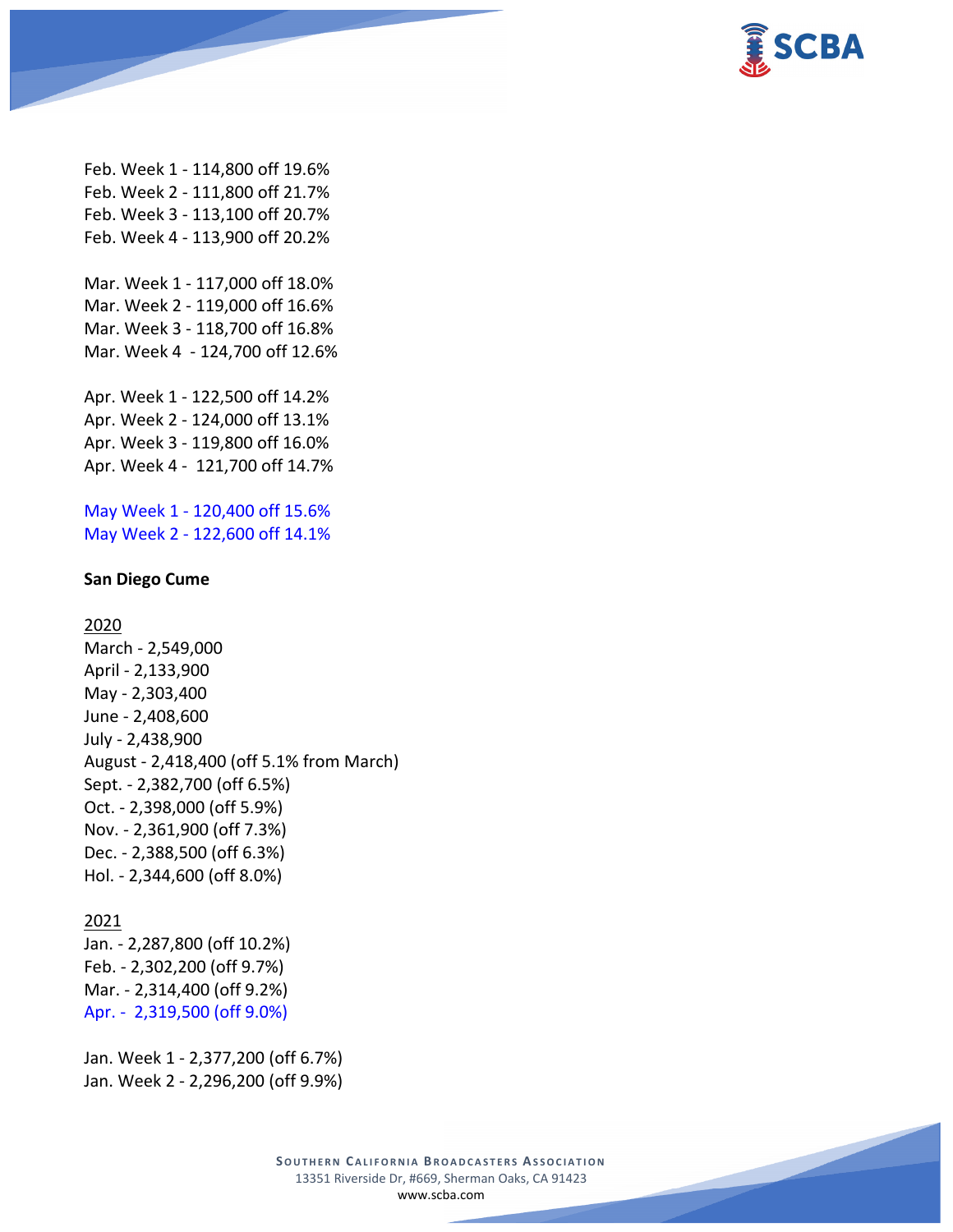

Feb. Week 1 - 114,800 off 19.6% Feb. Week 2 - 111,800 off 21.7% Feb. Week 3 - 113,100 off 20.7% Feb. Week 4 - 113,900 off 20.2%

Mar. Week 1 - 117,000 off 18.0% Mar. Week 2 - 119,000 off 16.6% Mar. Week 3 - 118,700 off 16.8% Mar. Week 4 - 124,700 off 12.6%

Apr. Week 1 - 122,500 off 14.2% Apr. Week 2 - 124,000 off 13.1% Apr. Week 3 - 119,800 off 16.0% Apr. Week 4 - 121,700 off 14.7%

May Week 1 - 120,400 off 15.6% May Week 2 - 122,600 off 14.1%

#### **San Diego Cume**

### 2020

March - 2,549,000 April - 2,133,900 May - 2,303,400 June - 2,408,600 July - 2,438,900 August - 2,418,400 (off 5.1% from March) Sept. - 2,382,700 (off 6.5%) Oct. - 2,398,000 (off 5.9%) Nov. - 2,361,900 (off 7.3%) Dec. - 2,388,500 (off 6.3%) Hol. - 2,344,600 (off 8.0%)

### 2021

Jan. - 2,287,800 (off 10.2%) Feb. - 2,302,200 (off 9.7%) Mar. - 2,314,400 (off 9.2%) Apr. - 2,319,500 (off 9.0%)

Jan. Week 1 - 2,377,200 (off 6.7%) Jan. Week 2 - 2,296,200 (off 9.9%)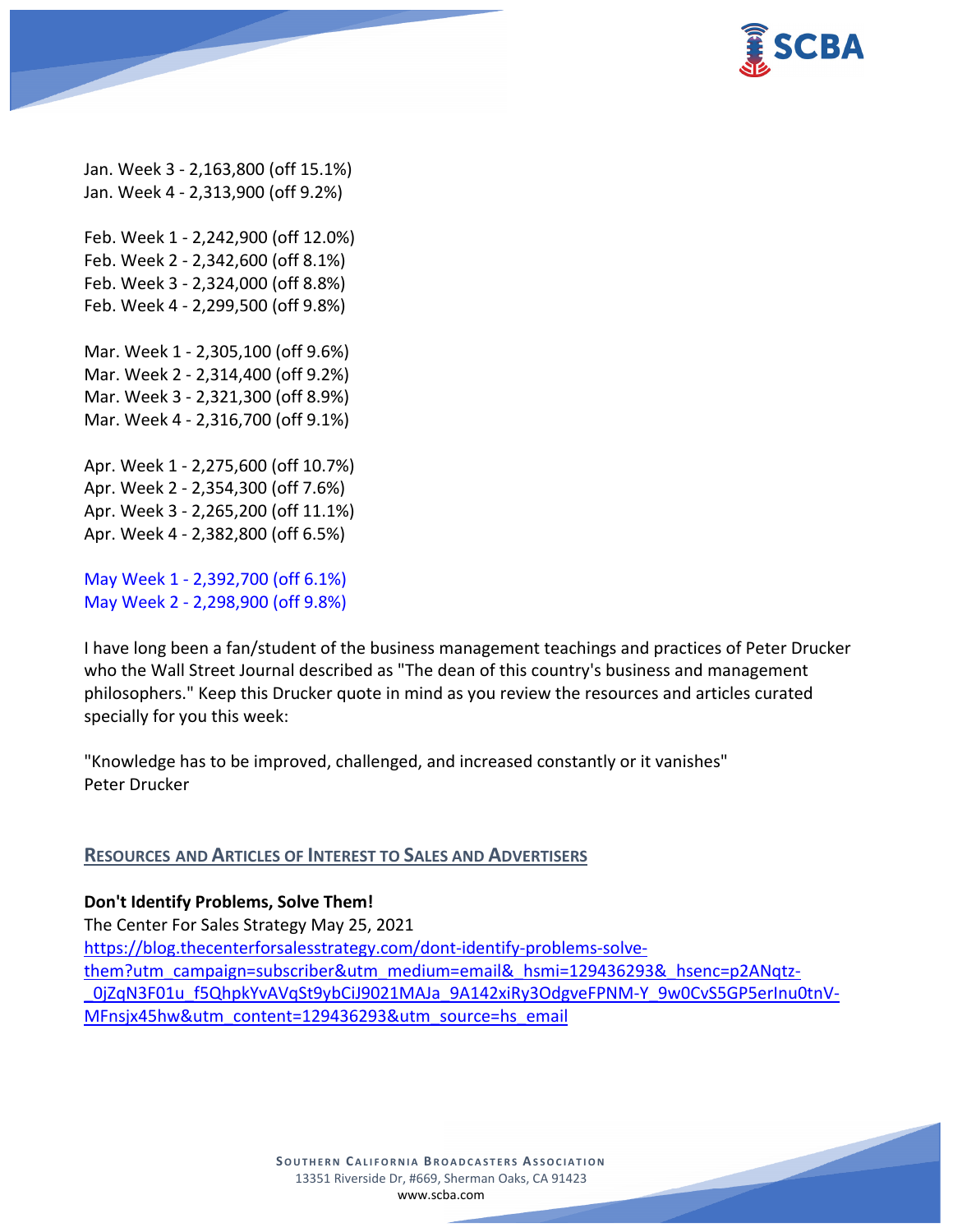

Jan. Week 3 - 2,163,800 (off 15.1%) Jan. Week 4 - 2,313,900 (off 9.2%)

Feb. Week 1 - 2,242,900 (off 12.0%) Feb. Week 2 - 2,342,600 (off 8.1%) Feb. Week 3 - 2,324,000 (off 8.8%) Feb. Week 4 - 2,299,500 (off 9.8%)

Mar. Week 1 - 2,305,100 (off 9.6%) Mar. Week 2 - 2,314,400 (off 9.2%) Mar. Week 3 - 2,321,300 (off 8.9%) Mar. Week 4 - 2,316,700 (off 9.1%)

Apr. Week 1 - 2,275,600 (off 10.7%) Apr. Week 2 - 2,354,300 (off 7.6%) Apr. Week 3 - 2,265,200 (off 11.1%) Apr. Week 4 - 2,382,800 (off 6.5%)

May Week 1 - 2,392,700 (off 6.1%) May Week 2 - 2,298,900 (off 9.8%)

I have long been a fan/student of the business management teachings and practices of Peter Drucker who the Wall Street Journal described as "The dean of this country's business and management philosophers." Keep this Drucker quote in mind as you review the resources and articles curated specially for you this week:

"Knowledge has to be improved, challenged, and increased constantly or it vanishes" Peter Drucker

# **RESOURCES AND ARTICLES OF INTEREST TO SALES AND ADVERTISERS**

**Don't Identify Problems, Solve Them!**

The Center For Sales Strategy May 25, 2021 [https://blog.thecenterforsalesstrategy.com/dont-identify-problems-solve](https://blog.thecenterforsalesstrategy.com/dont-identify-problems-solve-them?utm_campaign=subscriber&utm_medium=email&_hsmi=129436293&_hsenc=p2ANqtz-_0jZqN3F01u_f5QhpkYvAVqSt9ybCiJ9021MAJa_9A142xiRy3OdgveFPNM-Y_9w0CvS5GP5erInu0tnV-MFnsjx45hw&utm_content=129436293&utm_source=hs_email)[them?utm\\_campaign=subscriber&utm\\_medium=email&\\_hsmi=129436293&\\_hsenc=p2ANqtz-](https://blog.thecenterforsalesstrategy.com/dont-identify-problems-solve-them?utm_campaign=subscriber&utm_medium=email&_hsmi=129436293&_hsenc=p2ANqtz-_0jZqN3F01u_f5QhpkYvAVqSt9ybCiJ9021MAJa_9A142xiRy3OdgveFPNM-Y_9w0CvS5GP5erInu0tnV-MFnsjx45hw&utm_content=129436293&utm_source=hs_email) 0jZqN3F01u f5QhpkYvAVqSt9ybCiJ9021MAJa\_9A142xiRy3OdgveFPNM-Y\_9w0CvS5GP5erInu0tnV-[MFnsjx45hw&utm\\_content=129436293&utm\\_source=hs\\_email](https://blog.thecenterforsalesstrategy.com/dont-identify-problems-solve-them?utm_campaign=subscriber&utm_medium=email&_hsmi=129436293&_hsenc=p2ANqtz-_0jZqN3F01u_f5QhpkYvAVqSt9ybCiJ9021MAJa_9A142xiRy3OdgveFPNM-Y_9w0CvS5GP5erInu0tnV-MFnsjx45hw&utm_content=129436293&utm_source=hs_email)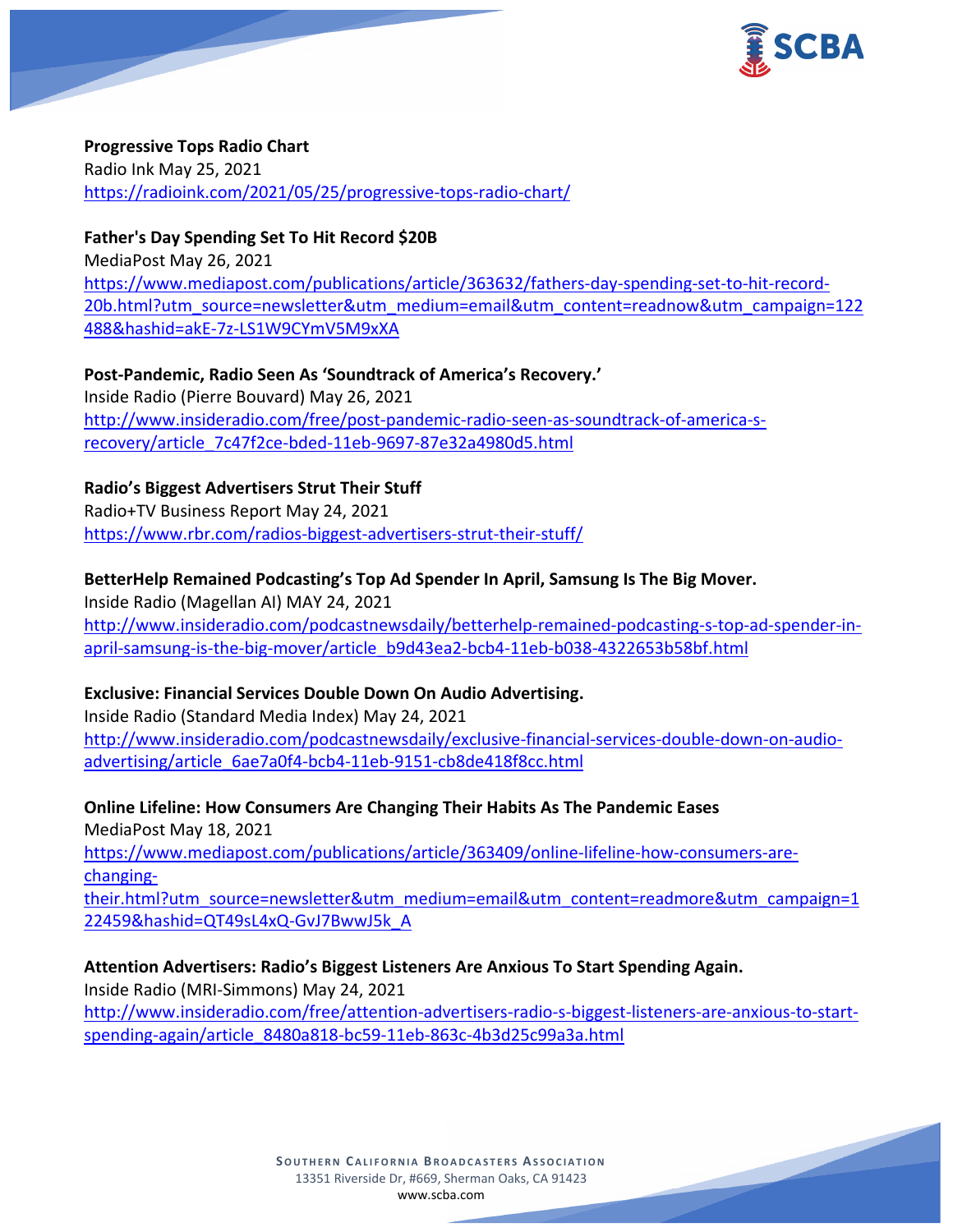

### **Progressive Tops Radio Chart**

Radio Ink May 25, 2021 <https://radioink.com/2021/05/25/progressive-tops-radio-chart/>

# **Father's Day Spending Set To Hit Record \$20B**

MediaPost May 26, 2021 [https://www.mediapost.com/publications/article/363632/fathers-day-spending-set-to-hit-record-](https://www.mediapost.com/publications/article/363632/fathers-day-spending-set-to-hit-record-20b.html?utm_source=newsletter&utm_medium=email&utm_content=readnow&utm_campaign=122488&hashid=akE-7z-LS1W9CYmV5M9xXA)[20b.html?utm\\_source=newsletter&utm\\_medium=email&utm\\_content=readnow&utm\\_campaign=122](https://www.mediapost.com/publications/article/363632/fathers-day-spending-set-to-hit-record-20b.html?utm_source=newsletter&utm_medium=email&utm_content=readnow&utm_campaign=122488&hashid=akE-7z-LS1W9CYmV5M9xXA) [488&hashid=akE-7z-LS1W9CYmV5M9xXA](https://www.mediapost.com/publications/article/363632/fathers-day-spending-set-to-hit-record-20b.html?utm_source=newsletter&utm_medium=email&utm_content=readnow&utm_campaign=122488&hashid=akE-7z-LS1W9CYmV5M9xXA)

**Post-Pandemic, Radio Seen As 'Soundtrack of America's Recovery.'** Inside Radio (Pierre Bouvard) May 26, 2021 [http://www.insideradio.com/free/post-pandemic-radio-seen-as-soundtrack-of-america-s](http://www.insideradio.com/free/post-pandemic-radio-seen-as-soundtrack-of-america-s-recovery/article_7c47f2ce-bded-11eb-9697-87e32a4980d5.html)[recovery/article\\_7c47f2ce-bded-11eb-9697-87e32a4980d5.html](http://www.insideradio.com/free/post-pandemic-radio-seen-as-soundtrack-of-america-s-recovery/article_7c47f2ce-bded-11eb-9697-87e32a4980d5.html)

**Radio's Biggest Advertisers Strut Their Stuff**

Radio+TV Business Report May 24, 2021 <https://www.rbr.com/radios-biggest-advertisers-strut-their-stuff/>

## **BetterHelp Remained Podcasting's Top Ad Spender In April, Samsung Is The Big Mover.**

Inside Radio (Magellan AI) MAY 24, 2021 [http://www.insideradio.com/podcastnewsdaily/betterhelp-remained-podcasting-s-top-ad-spender-in](http://www.insideradio.com/podcastnewsdaily/betterhelp-remained-podcasting-s-top-ad-spender-in-april-samsung-is-the-big-mover/article_b9d43ea2-bcb4-11eb-b038-4322653b58bf.html)[april-samsung-is-the-big-mover/article\\_b9d43ea2-bcb4-11eb-b038-4322653b58bf.html](http://www.insideradio.com/podcastnewsdaily/betterhelp-remained-podcasting-s-top-ad-spender-in-april-samsung-is-the-big-mover/article_b9d43ea2-bcb4-11eb-b038-4322653b58bf.html)

# **Exclusive: Financial Services Double Down On Audio Advertising.**

Inside Radio (Standard Media Index) May 24, 2021 [http://www.insideradio.com/podcastnewsdaily/exclusive-financial-services-double-down-on-audio](http://www.insideradio.com/podcastnewsdaily/exclusive-financial-services-double-down-on-audio-advertising/article_6ae7a0f4-bcb4-11eb-9151-cb8de418f8cc.html)[advertising/article\\_6ae7a0f4-bcb4-11eb-9151-cb8de418f8cc.html](http://www.insideradio.com/podcastnewsdaily/exclusive-financial-services-double-down-on-audio-advertising/article_6ae7a0f4-bcb4-11eb-9151-cb8de418f8cc.html)

**Online Lifeline: How Consumers Are Changing Their Habits As The Pandemic Eases**

MediaPost May 18, 2021

[https://www.mediapost.com/publications/article/363409/online-lifeline-how-consumers-are](https://www.mediapost.com/publications/article/363409/online-lifeline-how-consumers-are-changing-their.html?utm_source=newsletter&utm_medium=email&utm_content=readmore&utm_campaign=122459&hashid=QT49sL4xQ-GvJ7BwwJ5k_A)[changing-](https://www.mediapost.com/publications/article/363409/online-lifeline-how-consumers-are-changing-their.html?utm_source=newsletter&utm_medium=email&utm_content=readmore&utm_campaign=122459&hashid=QT49sL4xQ-GvJ7BwwJ5k_A)

[their.html?utm\\_source=newsletter&utm\\_medium=email&utm\\_content=readmore&utm\\_campaign=1](https://www.mediapost.com/publications/article/363409/online-lifeline-how-consumers-are-changing-their.html?utm_source=newsletter&utm_medium=email&utm_content=readmore&utm_campaign=122459&hashid=QT49sL4xQ-GvJ7BwwJ5k_A) [22459&hashid=QT49sL4xQ-GvJ7BwwJ5k\\_A](https://www.mediapost.com/publications/article/363409/online-lifeline-how-consumers-are-changing-their.html?utm_source=newsletter&utm_medium=email&utm_content=readmore&utm_campaign=122459&hashid=QT49sL4xQ-GvJ7BwwJ5k_A)

**Attention Advertisers: Radio's Biggest Listeners Are Anxious To Start Spending Again.** Inside Radio (MRI-Simmons) May 24, 2021 [http://www.insideradio.com/free/attention-advertisers-radio-s-biggest-listeners-are-anxious-to-start](http://www.insideradio.com/free/attention-advertisers-radio-s-biggest-listeners-are-anxious-to-start-spending-again/article_8480a818-bc59-11eb-863c-4b3d25c99a3a.html)[spending-again/article\\_8480a818-bc59-11eb-863c-4b3d25c99a3a.html](http://www.insideradio.com/free/attention-advertisers-radio-s-biggest-listeners-are-anxious-to-start-spending-again/article_8480a818-bc59-11eb-863c-4b3d25c99a3a.html)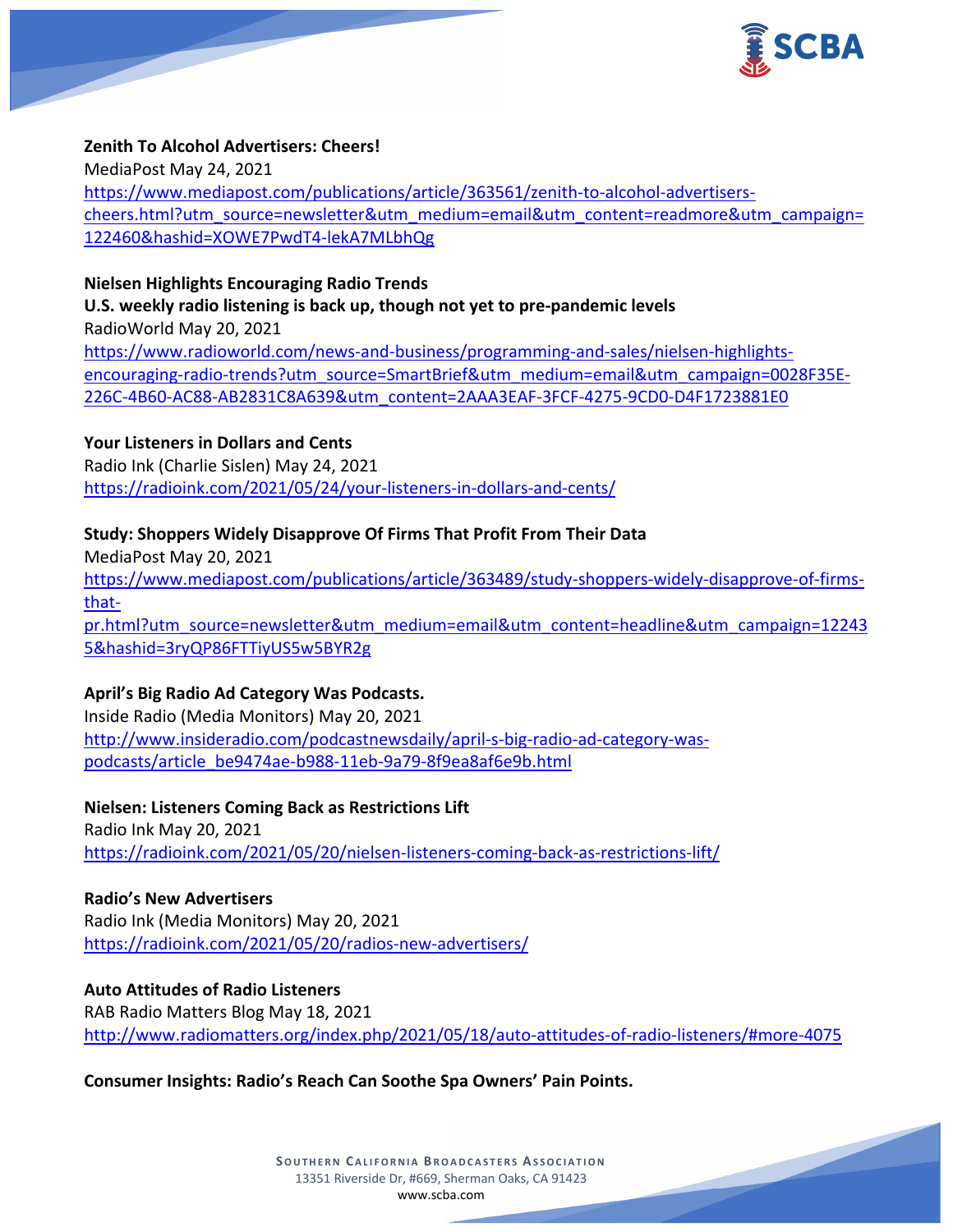

### **Zenith To Alcohol Advertisers: Cheers!**

MediaPost May 24, 2021 [https://www.mediapost.com/publications/article/363561/zenith-to-alcohol-advertisers](https://www.mediapost.com/publications/article/363561/zenith-to-alcohol-advertisers-cheers.html?utm_source=newsletter&utm_medium=email&utm_content=readmore&utm_campaign=122460&hashid=XOWE7PwdT4-lekA7MLbhQg)[cheers.html?utm\\_source=newsletter&utm\\_medium=email&utm\\_content=readmore&utm\\_campaign=](https://www.mediapost.com/publications/article/363561/zenith-to-alcohol-advertisers-cheers.html?utm_source=newsletter&utm_medium=email&utm_content=readmore&utm_campaign=122460&hashid=XOWE7PwdT4-lekA7MLbhQg) [122460&hashid=XOWE7PwdT4-lekA7MLbhQg](https://www.mediapost.com/publications/article/363561/zenith-to-alcohol-advertisers-cheers.html?utm_source=newsletter&utm_medium=email&utm_content=readmore&utm_campaign=122460&hashid=XOWE7PwdT4-lekA7MLbhQg)

### **Nielsen Highlights Encouraging Radio Trends**

**U.S. weekly radio listening is back up, though not yet to pre-pandemic levels** RadioWorld May 20, 2021 [https://www.radioworld.com/news-and-business/programming-and-sales/nielsen-highlights](https://www.radioworld.com/news-and-business/programming-and-sales/nielsen-highlights-encouraging-radio-trends?utm_source=SmartBrief&utm_medium=email&utm_campaign=0028F35E-226C-4B60-AC88-AB2831C8A639&utm_content=2AAA3EAF-3FCF-4275-9CD0-D4F1723881E0)[encouraging-radio-trends?utm\\_source=SmartBrief&utm\\_medium=email&utm\\_campaign=0028F35E-](https://www.radioworld.com/news-and-business/programming-and-sales/nielsen-highlights-encouraging-radio-trends?utm_source=SmartBrief&utm_medium=email&utm_campaign=0028F35E-226C-4B60-AC88-AB2831C8A639&utm_content=2AAA3EAF-3FCF-4275-9CD0-D4F1723881E0)[226C-4B60-AC88-AB2831C8A639&utm\\_content=2AAA3EAF-3FCF-4275-9CD0-D4F1723881E0](https://www.radioworld.com/news-and-business/programming-and-sales/nielsen-highlights-encouraging-radio-trends?utm_source=SmartBrief&utm_medium=email&utm_campaign=0028F35E-226C-4B60-AC88-AB2831C8A639&utm_content=2AAA3EAF-3FCF-4275-9CD0-D4F1723881E0)

## **Your Listeners in Dollars and Cents**

Radio Ink (Charlie Sislen) May 24, 2021 <https://radioink.com/2021/05/24/your-listeners-in-dollars-and-cents/>

## **Study: Shoppers Widely Disapprove Of Firms That Profit From Their Data**

MediaPost May 20, 2021 [https://www.mediapost.com/publications/article/363489/study-shoppers-widely-disapprove-of-firms](https://www.mediapost.com/publications/article/363489/study-shoppers-widely-disapprove-of-firms-that-pr.html?utm_source=newsletter&utm_medium=email&utm_content=headline&utm_campaign=122435&hashid=3ryQP86FTTiyUS5w5BYR2g)[that](https://www.mediapost.com/publications/article/363489/study-shoppers-widely-disapprove-of-firms-that-pr.html?utm_source=newsletter&utm_medium=email&utm_content=headline&utm_campaign=122435&hashid=3ryQP86FTTiyUS5w5BYR2g)[pr.html?utm\\_source=newsletter&utm\\_medium=email&utm\\_content=headline&utm\\_campaign=12243](https://www.mediapost.com/publications/article/363489/study-shoppers-widely-disapprove-of-firms-that-pr.html?utm_source=newsletter&utm_medium=email&utm_content=headline&utm_campaign=122435&hashid=3ryQP86FTTiyUS5w5BYR2g) [5&hashid=3ryQP86FTTiyUS5w5BYR2g](https://www.mediapost.com/publications/article/363489/study-shoppers-widely-disapprove-of-firms-that-pr.html?utm_source=newsletter&utm_medium=email&utm_content=headline&utm_campaign=122435&hashid=3ryQP86FTTiyUS5w5BYR2g)

### **April's Big Radio Ad Category Was Podcasts.**

Inside Radio (Media Monitors) May 20, 2021 [http://www.insideradio.com/podcastnewsdaily/april-s-big-radio-ad-category-was](http://www.insideradio.com/podcastnewsdaily/april-s-big-radio-ad-category-was-podcasts/article_be9474ae-b988-11eb-9a79-8f9ea8af6e9b.html)[podcasts/article\\_be9474ae-b988-11eb-9a79-8f9ea8af6e9b.html](http://www.insideradio.com/podcastnewsdaily/april-s-big-radio-ad-category-was-podcasts/article_be9474ae-b988-11eb-9a79-8f9ea8af6e9b.html)

**Nielsen: Listeners Coming Back as Restrictions Lift** Radio Ink May 20, 2021 <https://radioink.com/2021/05/20/nielsen-listeners-coming-back-as-restrictions-lift/>

**Radio's New Advertisers** Radio Ink (Media Monitors) May 20, 2021 <https://radioink.com/2021/05/20/radios-new-advertisers/>

**Auto Attitudes of Radio Listeners** RAB Radio Matters Blog May 18, 2021 <http://www.radiomatters.org/index.php/2021/05/18/auto-attitudes-of-radio-listeners/#more-4075>

**Consumer Insights: Radio's Reach Can Soothe Spa Owners' Pain Points.**

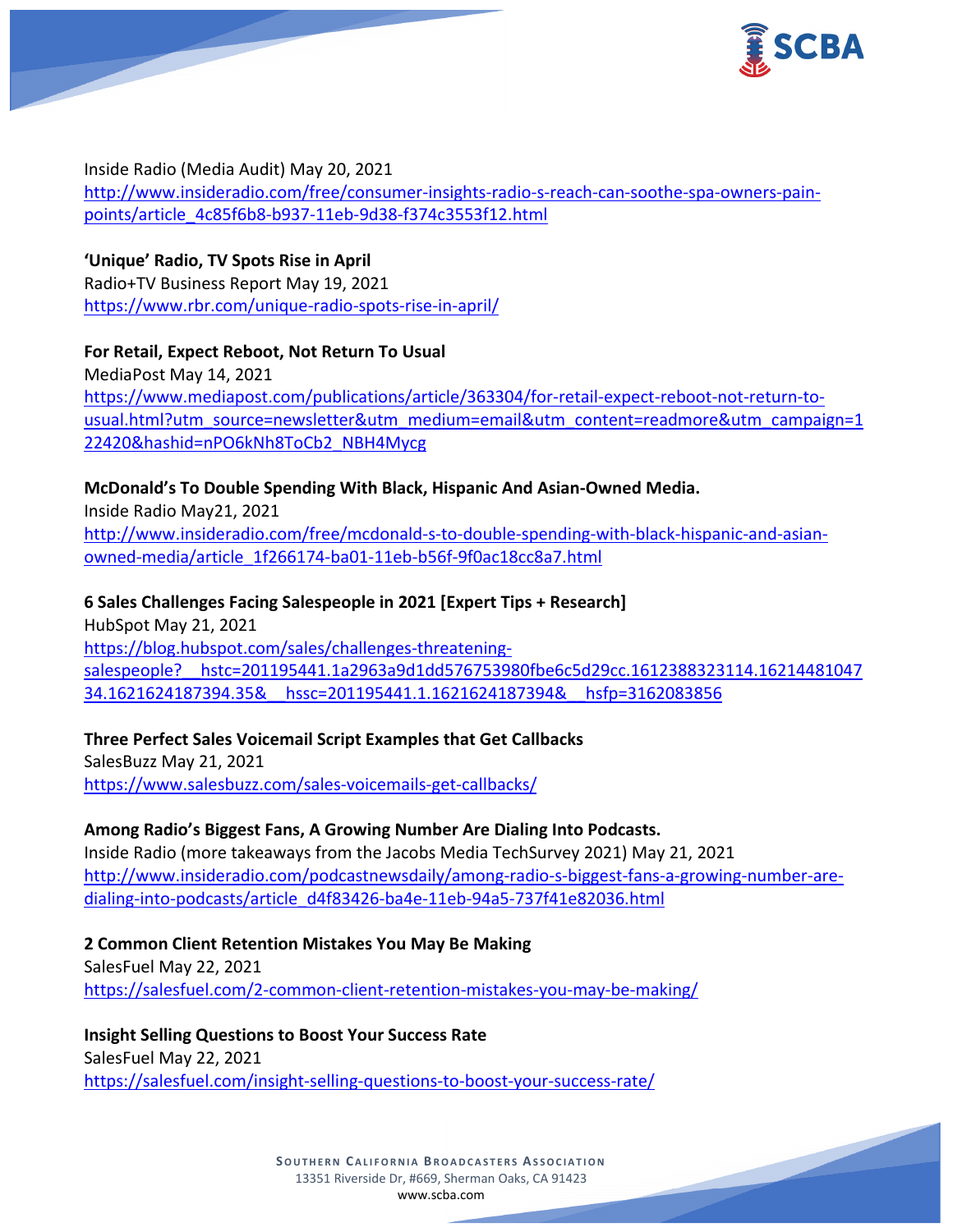

Inside Radio (Media Audit) May 20, 2021 [http://www.insideradio.com/free/consumer-insights-radio-s-reach-can-soothe-spa-owners-pain](http://www.insideradio.com/free/consumer-insights-radio-s-reach-can-soothe-spa-owners-pain-points/article_4c85f6b8-b937-11eb-9d38-f374c3553f12.html)[points/article\\_4c85f6b8-b937-11eb-9d38-f374c3553f12.html](http://www.insideradio.com/free/consumer-insights-radio-s-reach-can-soothe-spa-owners-pain-points/article_4c85f6b8-b937-11eb-9d38-f374c3553f12.html)

**'Unique' Radio, TV Spots Rise in April** Radio+TV Business Report May 19, 2021 <https://www.rbr.com/unique-radio-spots-rise-in-april/>

**For Retail, Expect Reboot, Not Return To Usual** MediaPost May 14, 2021 [https://www.mediapost.com/publications/article/363304/for-retail-expect-reboot-not-return-to](https://www.mediapost.com/publications/article/363304/for-retail-expect-reboot-not-return-to-usual.html?utm_source=newsletter&utm_medium=email&utm_content=readmore&utm_campaign=122420&hashid=nPO6kNh8ToCb2_NBH4Mycg)[usual.html?utm\\_source=newsletter&utm\\_medium=email&utm\\_content=readmore&utm\\_campaign=1](https://www.mediapost.com/publications/article/363304/for-retail-expect-reboot-not-return-to-usual.html?utm_source=newsletter&utm_medium=email&utm_content=readmore&utm_campaign=122420&hashid=nPO6kNh8ToCb2_NBH4Mycg) [22420&hashid=nPO6kNh8ToCb2\\_NBH4Mycg](https://www.mediapost.com/publications/article/363304/for-retail-expect-reboot-not-return-to-usual.html?utm_source=newsletter&utm_medium=email&utm_content=readmore&utm_campaign=122420&hashid=nPO6kNh8ToCb2_NBH4Mycg)

# **McDonald's To Double Spending With Black, Hispanic And Asian-Owned Media.**

Inside Radio May21, 2021 [http://www.insideradio.com/free/mcdonald-s-to-double-spending-with-black-hispanic-and-asian](http://www.insideradio.com/free/mcdonald-s-to-double-spending-with-black-hispanic-and-asian-owned-media/article_1f266174-ba01-11eb-b56f-9f0ac18cc8a7.html)[owned-media/article\\_1f266174-ba01-11eb-b56f-9f0ac18cc8a7.html](http://www.insideradio.com/free/mcdonald-s-to-double-spending-with-black-hispanic-and-asian-owned-media/article_1f266174-ba01-11eb-b56f-9f0ac18cc8a7.html)

# **6 Sales Challenges Facing Salespeople in 2021 [Expert Tips + Research]**

HubSpot May 21, 2021 [https://blog.hubspot.com/sales/challenges-threatening](https://blog.hubspot.com/sales/challenges-threatening-salespeople?__hstc=201195441.1a2963a9d1dd576753980fbe6c5d29cc.1612388323114.1621448104734.1621624187394.35&__hssc=201195441.1.1621624187394&__hsfp=3162083856)[salespeople?\\_\\_hstc=201195441.1a2963a9d1dd576753980fbe6c5d29cc.1612388323114.16214481047](https://blog.hubspot.com/sales/challenges-threatening-salespeople?__hstc=201195441.1a2963a9d1dd576753980fbe6c5d29cc.1612388323114.1621448104734.1621624187394.35&__hssc=201195441.1.1621624187394&__hsfp=3162083856) [34.1621624187394.35&\\_\\_hssc=201195441.1.1621624187394&\\_\\_hsfp=3162083856](https://blog.hubspot.com/sales/challenges-threatening-salespeople?__hstc=201195441.1a2963a9d1dd576753980fbe6c5d29cc.1612388323114.1621448104734.1621624187394.35&__hssc=201195441.1.1621624187394&__hsfp=3162083856)

**Three Perfect Sales Voicemail Script Examples that Get Callbacks** SalesBuzz May 21, 2021 <https://www.salesbuzz.com/sales-voicemails-get-callbacks/>

# **Among Radio's Biggest Fans, A Growing Number Are Dialing Into Podcasts.**

Inside Radio (more takeaways from the Jacobs Media TechSurvey 2021) May 21, 2021 [http://www.insideradio.com/podcastnewsdaily/among-radio-s-biggest-fans-a-growing-number-are](http://www.insideradio.com/podcastnewsdaily/among-radio-s-biggest-fans-a-growing-number-are-dialing-into-podcasts/article_d4f83426-ba4e-11eb-94a5-737f41e82036.html)[dialing-into-podcasts/article\\_d4f83426-ba4e-11eb-94a5-737f41e82036.html](http://www.insideradio.com/podcastnewsdaily/among-radio-s-biggest-fans-a-growing-number-are-dialing-into-podcasts/article_d4f83426-ba4e-11eb-94a5-737f41e82036.html)

**2 Common Client Retention Mistakes You May Be Making** SalesFuel May 22, 2021 <https://salesfuel.com/2-common-client-retention-mistakes-you-may-be-making/>

### **Insight Selling Questions to Boost Your Success Rate**

SalesFuel May 22, 2021 <https://salesfuel.com/insight-selling-questions-to-boost-your-success-rate/>

> **SOUTHERN CALIFORNIA BROADCASTERS ASSOCIATION** 13351 Riverside Dr, #669, Sherman Oaks, CA 91423 [www.scba.com](http://www.scba.com/)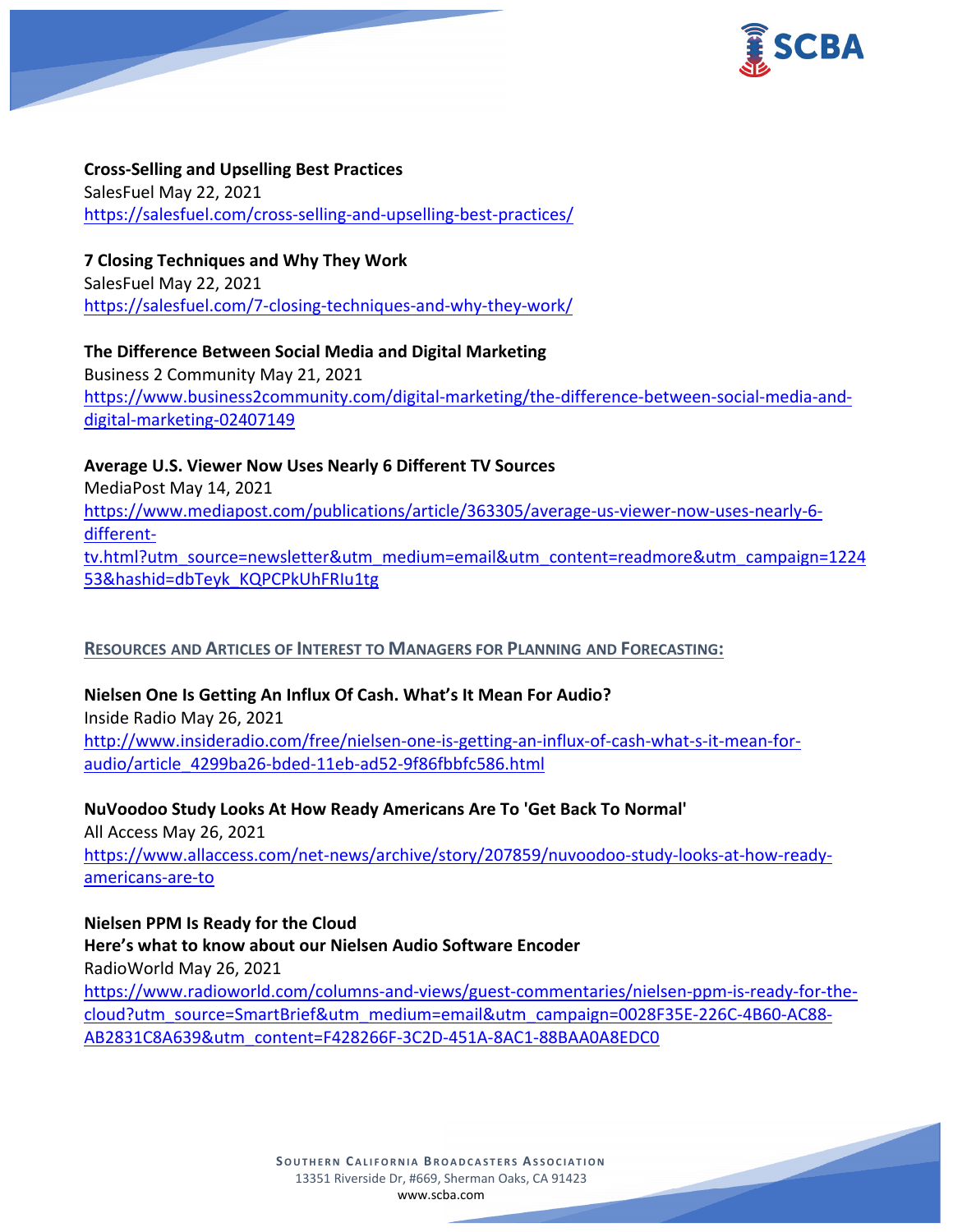

**Cross-Selling and Upselling Best Practices** SalesFuel May 22, 2021 <https://salesfuel.com/cross-selling-and-upselling-best-practices/>

**7 Closing Techniques and Why They Work** SalesFuel May 22, 2021 <https://salesfuel.com/7-closing-techniques-and-why-they-work/>

**The Difference Between Social Media and Digital Marketing** Business 2 Community May 21, 2021 [https://www.business2community.com/digital-marketing/the-difference-between-social-media-and](https://www.business2community.com/digital-marketing/the-difference-between-social-media-and-digital-marketing-02407149)[digital-marketing-02407149](https://www.business2community.com/digital-marketing/the-difference-between-social-media-and-digital-marketing-02407149)

**Average U.S. Viewer Now Uses Nearly 6 Different TV Sources** MediaPost May 14, 2021 [https://www.mediapost.com/publications/article/363305/average-us-viewer-now-uses-nearly-6](https://www.mediapost.com/publications/article/363305/average-us-viewer-now-uses-nearly-6-different-tv.html?utm_source=newsletter&utm_medium=email&utm_content=readmore&utm_campaign=122453&hashid=dbTeyk_KQPCPkUhFRIu1tg) [different](https://www.mediapost.com/publications/article/363305/average-us-viewer-now-uses-nearly-6-different-tv.html?utm_source=newsletter&utm_medium=email&utm_content=readmore&utm_campaign=122453&hashid=dbTeyk_KQPCPkUhFRIu1tg)[tv.html?utm\\_source=newsletter&utm\\_medium=email&utm\\_content=readmore&utm\\_campaign=1224](https://www.mediapost.com/publications/article/363305/average-us-viewer-now-uses-nearly-6-different-tv.html?utm_source=newsletter&utm_medium=email&utm_content=readmore&utm_campaign=122453&hashid=dbTeyk_KQPCPkUhFRIu1tg) [53&hashid=dbTeyk\\_KQPCPkUhFRIu1tg](https://www.mediapost.com/publications/article/363305/average-us-viewer-now-uses-nearly-6-different-tv.html?utm_source=newsletter&utm_medium=email&utm_content=readmore&utm_campaign=122453&hashid=dbTeyk_KQPCPkUhFRIu1tg)

### **RESOURCES AND ARTICLES OF INTEREST TO MANAGERS FOR PLANNING AND FORECASTING:**

**Nielsen One Is Getting An Influx Of Cash. What's It Mean For Audio?** Inside Radio May 26, 2021 [http://www.insideradio.com/free/nielsen-one-is-getting-an-influx-of-cash-what-s-it-mean-for-](http://www.insideradio.com/free/nielsen-one-is-getting-an-influx-of-cash-what-s-it-mean-for-audio/article_4299ba26-bded-11eb-ad52-9f86fbbfc586.html)

[audio/article\\_4299ba26-bded-11eb-ad52-9f86fbbfc586.html](http://www.insideradio.com/free/nielsen-one-is-getting-an-influx-of-cash-what-s-it-mean-for-audio/article_4299ba26-bded-11eb-ad52-9f86fbbfc586.html) **NuVoodoo Study Looks At How Ready Americans Are To 'Get Back To Normal'**

All Access May 26, 2021 [https://www.allaccess.com/net-news/archive/story/207859/nuvoodoo-study-looks-at-how-ready](https://www.allaccess.com/net-news/archive/story/207859/nuvoodoo-study-looks-at-how-ready-americans-are-to)[americans-are-to](https://www.allaccess.com/net-news/archive/story/207859/nuvoodoo-study-looks-at-how-ready-americans-are-to)

**Nielsen PPM Is Ready for the Cloud Here's what to know about our Nielsen Audio Software Encoder** RadioWorld May 26, 2021 [https://www.radioworld.com/columns-and-views/guest-commentaries/nielsen-ppm-is-ready-for-the](https://www.radioworld.com/columns-and-views/guest-commentaries/nielsen-ppm-is-ready-for-the-cloud?utm_source=SmartBrief&utm_medium=email&utm_campaign=0028F35E-226C-4B60-AC88-AB2831C8A639&utm_content=F428266F-3C2D-451A-8AC1-88BAA0A8EDC0)[cloud?utm\\_source=SmartBrief&utm\\_medium=email&utm\\_campaign=0028F35E-226C-4B60-AC88-](https://www.radioworld.com/columns-and-views/guest-commentaries/nielsen-ppm-is-ready-for-the-cloud?utm_source=SmartBrief&utm_medium=email&utm_campaign=0028F35E-226C-4B60-AC88-AB2831C8A639&utm_content=F428266F-3C2D-451A-8AC1-88BAA0A8EDC0) [AB2831C8A639&utm\\_content=F428266F-3C2D-451A-8AC1-88BAA0A8EDC0](https://www.radioworld.com/columns-and-views/guest-commentaries/nielsen-ppm-is-ready-for-the-cloud?utm_source=SmartBrief&utm_medium=email&utm_campaign=0028F35E-226C-4B60-AC88-AB2831C8A639&utm_content=F428266F-3C2D-451A-8AC1-88BAA0A8EDC0)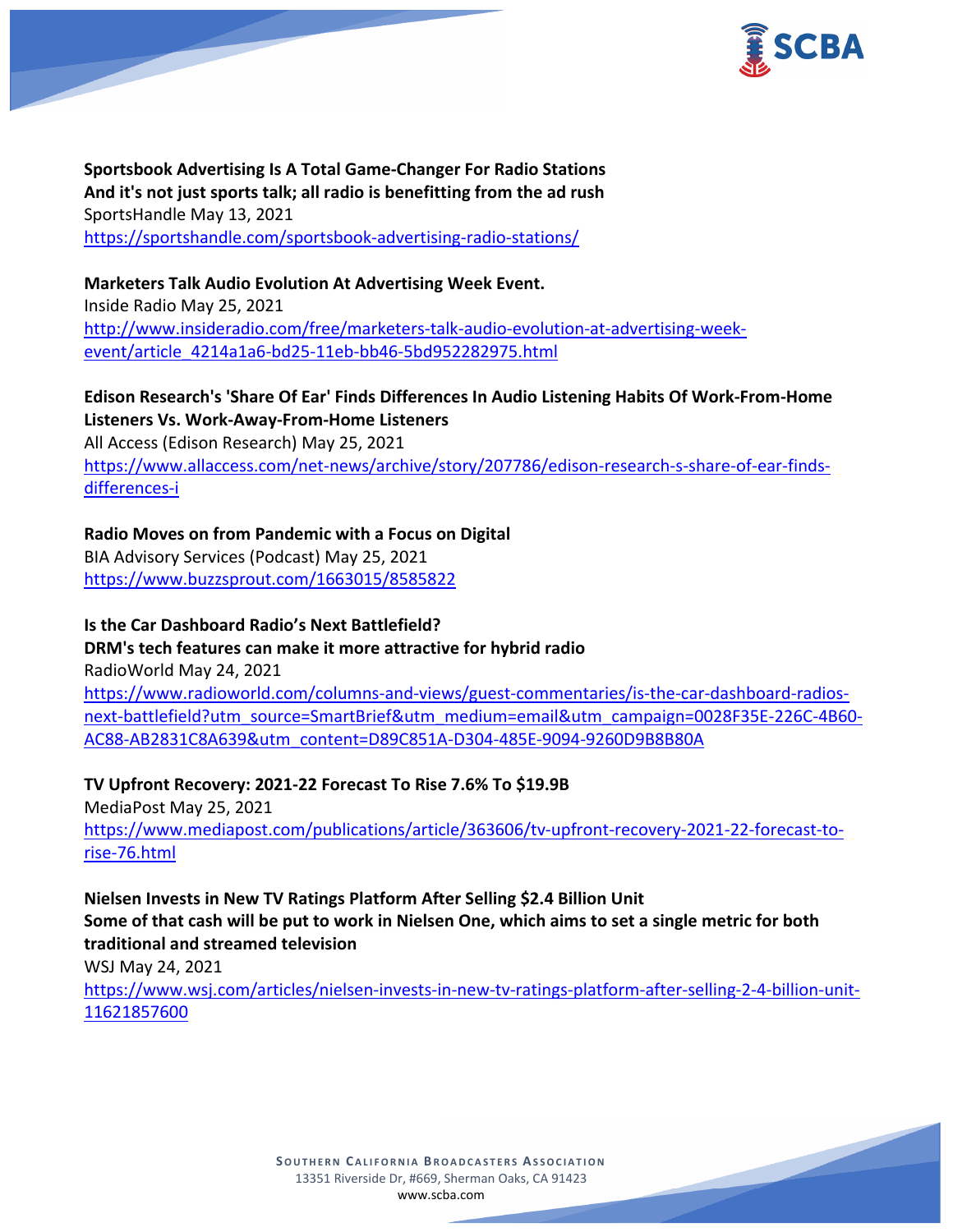

**Sportsbook Advertising Is A Total Game-Changer For Radio Stations And it's not just sports talk; all radio is benefitting from the ad rush** SportsHandle May 13, 2021 <https://sportshandle.com/sportsbook-advertising-radio-stations/>

**Marketers Talk Audio Evolution At Advertising Week Event.** Inside Radio May 25, 2021 [http://www.insideradio.com/free/marketers-talk-audio-evolution-at-advertising-week](http://www.insideradio.com/free/marketers-talk-audio-evolution-at-advertising-week-event/article_4214a1a6-bd25-11eb-bb46-5bd952282975.html)[event/article\\_4214a1a6-bd25-11eb-bb46-5bd952282975.html](http://www.insideradio.com/free/marketers-talk-audio-evolution-at-advertising-week-event/article_4214a1a6-bd25-11eb-bb46-5bd952282975.html)

## **Edison Research's 'Share Of Ear' Finds Differences In Audio Listening Habits Of Work-From-Home Listeners Vs. Work-Away-From-Home Listeners**

All Access (Edison Research) May 25, 2021 [https://www.allaccess.com/net-news/archive/story/207786/edison-research-s-share-of-ear-finds](https://www.allaccess.com/net-news/archive/story/207786/edison-research-s-share-of-ear-finds-differences-i)[differences-i](https://www.allaccess.com/net-news/archive/story/207786/edison-research-s-share-of-ear-finds-differences-i)

# **Radio Moves on from Pandemic with a Focus on Digital**

BIA Advisory Services (Podcast) May 25, 2021 <https://www.buzzsprout.com/1663015/8585822>

# **Is the Car Dashboard Radio's Next Battlefield?**

# **DRM's tech features can make it more attractive for hybrid radio**

RadioWorld May 24, 2021

[https://www.radioworld.com/columns-and-views/guest-commentaries/is-the-car-dashboard-radios](https://www.radioworld.com/columns-and-views/guest-commentaries/is-the-car-dashboard-radios-next-battlefield?utm_source=SmartBrief&utm_medium=email&utm_campaign=0028F35E-226C-4B60-AC88-AB2831C8A639&utm_content=D89C851A-D304-485E-9094-9260D9B8B80A)[next-battlefield?utm\\_source=SmartBrief&utm\\_medium=email&utm\\_campaign=0028F35E-226C-4B60-](https://www.radioworld.com/columns-and-views/guest-commentaries/is-the-car-dashboard-radios-next-battlefield?utm_source=SmartBrief&utm_medium=email&utm_campaign=0028F35E-226C-4B60-AC88-AB2831C8A639&utm_content=D89C851A-D304-485E-9094-9260D9B8B80A) [AC88-AB2831C8A639&utm\\_content=D89C851A-D304-485E-9094-9260D9B8B80A](https://www.radioworld.com/columns-and-views/guest-commentaries/is-the-car-dashboard-radios-next-battlefield?utm_source=SmartBrief&utm_medium=email&utm_campaign=0028F35E-226C-4B60-AC88-AB2831C8A639&utm_content=D89C851A-D304-485E-9094-9260D9B8B80A)

**TV Upfront Recovery: 2021-22 Forecast To Rise 7.6% To \$19.9B**

MediaPost May 25, 2021 [https://www.mediapost.com/publications/article/363606/tv-upfront-recovery-2021-22-forecast-to](https://www.mediapost.com/publications/article/363606/tv-upfront-recovery-2021-22-forecast-to-rise-76.html)[rise-76.html](https://www.mediapost.com/publications/article/363606/tv-upfront-recovery-2021-22-forecast-to-rise-76.html)

# **Nielsen Invests in New TV Ratings Platform After Selling \$2.4 Billion Unit Some of that cash will be put to work in Nielsen One, which aims to set a single metric for both traditional and streamed television**

WSJ May 24, 2021

[https://www.wsj.com/articles/nielsen-invests-in-new-tv-ratings-platform-after-selling-2-4-billion-unit-](https://www.wsj.com/articles/nielsen-invests-in-new-tv-ratings-platform-after-selling-2-4-billion-unit-11621857600)[11621857600](https://www.wsj.com/articles/nielsen-invests-in-new-tv-ratings-platform-after-selling-2-4-billion-unit-11621857600)